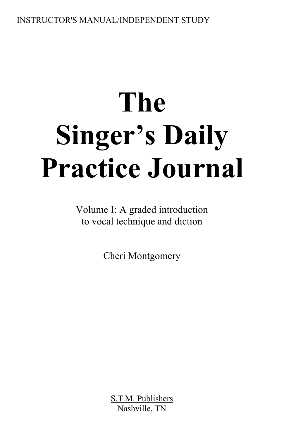# **The Singer's Daily Practice Journal**

Volume I: A graded introduction to vocal technique and diction

Cheri Montgomery

S.T.M. Publishers Nashville, TN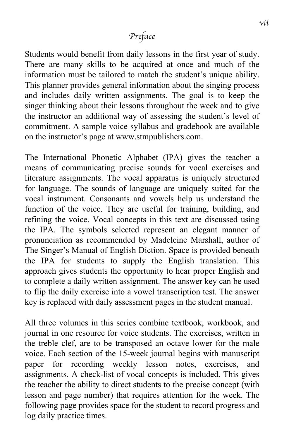#### *Preface*

Students would benefit from daily lessons in the first year of study. There are many skills to be acquired at once and much of the information must be tailored to match the student's unique ability. This planner provides general information about the singing process and includes daily written assignments. The goal is to keep the singer thinking about their lessons throughout the week and to give the instructor an additional way of assessing the student's level of commitment. A sample voice syllabus and gradebook are available on the instructor's page at www.stmpublishers.com.

The International Phonetic Alphabet (IPA) gives the teacher a means of communicating precise sounds for vocal exercises and literature assignments. The vocal apparatus is uniquely structured for language. The sounds of language are uniquely suited for the vocal instrument. Consonants and vowels help us understand the function of the voice. They are useful for training, building, and refining the voice. Vocal concepts in this text are discussed using the IPA. The symbols selected represent an elegant manner of pronunciation as recommended by Madeleine Marshall, author of The Singer's Manual of English Diction. Space is provided beneath the IPA for students to supply the English translation. This approach gives students the opportunity to hear proper English and to complete a daily written assignment. The answer key can be used to flip the daily exercise into a vowel transcription test. The answer key is replaced with daily assessment pages in the student manual.

All three volumes in this series combine textbook, workbook, and journal in one resource for voice students. The exercises, written in the treble clef, are to be transposed an octave lower for the male voice. Each section of the 15-week journal begins with manuscript paper for recording weekly lesson notes, exercises, and assignments. A check-list of vocal concepts is included. This gives the teacher the ability to direct students to the precise concept (with lesson and page number) that requires attention for the week. The following page provides space for the student to record progress and log daily practice times.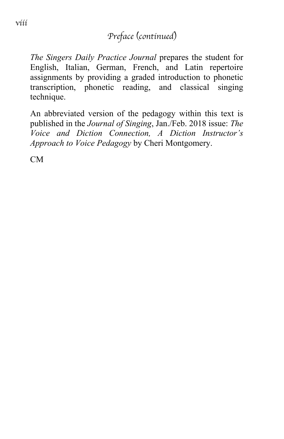#### *Preface (continued)*

*The Singers Daily Practice Journal* prepares the student for English, Italian, German, French, and Latin repertoire assignments by providing a graded introduction to phonetic transcription, phonetic reading, and classical singing technique.

An abbreviated version of the pedagogy within this text is published in the *Journal of Singing*, Jan./Feb. 2018 issue: *The Voice and Diction Connection, A Diction Instructor's Approach to Voice Pedagogy* by Cheri Montgomery.

CM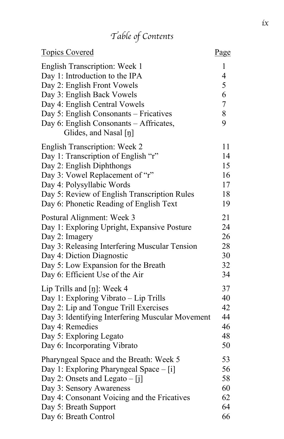# *Table of Contents*

| <b>Topics Covered</b>                            | Page           |
|--------------------------------------------------|----------------|
| <b>English Transcription: Week 1</b>             | 1              |
| Day 1: Introduction to the IPA                   | $\overline{4}$ |
| Day 2: English Front Vowels                      | 5              |
| Day 3: English Back Vowels                       | 6              |
| Day 4: English Central Vowels                    | $\overline{7}$ |
| Day 5: English Consonants – Fricatives           | 8              |
| Day 6: English Consonants - Affricates,          | 9              |
| Glides, and Nasal [ŋ]                            |                |
| <b>English Transcription: Week 2</b>             | 11             |
| Day 1: Transcription of English "r"              | 14             |
| Day 2: English Diphthongs                        | 15             |
| Day 3: Vowel Replacement of "r"                  | 16             |
| Day 4: Polysyllabic Words                        | 17             |
| Day 5: Review of English Transcription Rules     | 18             |
| Day 6: Phonetic Reading of English Text          | 19             |
| Postural Alignment: Week 3                       | 21             |
| Day 1: Exploring Upright, Expansive Posture      | 24             |
| Day 2: Imagery                                   | 26             |
| Day 3: Releasing Interfering Muscular Tension    | 28             |
| Day 4: Diction Diagnostic                        | 30             |
| Day 5: Low Expansion for the Breath              | 32             |
| Day 6: Efficient Use of the Air                  | 34             |
| Lip Trills and $[\eta]$ : Week 4                 | 37             |
| Day 1: Exploring Vibrato - Lip Trills            | 40             |
| Day 2: Lip and Tongue Trill Exercises            | 42             |
| Day 3: Identifying Interfering Muscular Movement | 44             |
| Day 4: Remedies                                  | 46             |
| Day 5: Exploring Legato                          | 48             |
| Day 6: Incorporating Vibrato                     | 50             |
| Pharyngeal Space and the Breath: Week 5          | 53             |
| Day 1: Exploring Pharyngeal Space - [i]          | 56             |
| Day 2: Onsets and Legato $-[j]$                  | 58             |
| Day 3: Sensory Awareness                         | 60             |
| Day 4: Consonant Voicing and the Fricatives      | 62             |
| Day 5: Breath Support                            | 64             |
| Day 6: Breath Control                            | 66             |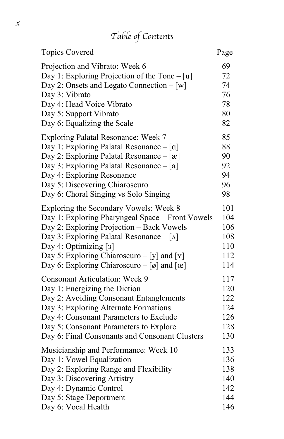# *Table of Contents*

| <b>Topics Covered</b>                                | Page |
|------------------------------------------------------|------|
| Projection and Vibrato: Week 6                       | 69   |
| Day 1: Exploring Projection of the Tone $-[u]$       | 72   |
| Day 2: Onsets and Legato Connection $-[w]$           | 74   |
| Day 3: Vibrato                                       | 76   |
| Day 4: Head Voice Vibrato                            | 78   |
| Day 5: Support Vibrato                               | 80   |
| Day 6: Equalizing the Scale                          | 82   |
| Exploring Palatal Resonance: Week 7                  | 85   |
| Day 1: Exploring Palatal Resonance $-[a]$            | 88   |
| Day 2: Exploring Palatal Resonance $-[x]$            | 90   |
| Day 3: Exploring Palatal Resonance – [a]             | 92   |
| Day 4: Exploring Resonance                           | 94   |
| Day 5: Discovering Chiaroscuro                       | 96   |
| Day 6: Choral Singing vs Solo Singing                | 98   |
| Exploring the Secondary Vowels: Week 8               | 101  |
| Day 1: Exploring Pharyngeal Space - Front Vowels     | 104  |
| Day 2: Exploring Projection - Back Vowels            | 106  |
| Day 3: Exploring Palatal Resonance $-$ [ $\Lambda$ ] | 108  |
| Day 4: Optimizing [3]                                | 110  |
| Day 5: Exploring Chiaroscuro - [y] and [Y]           | 112  |
| Day 6: Exploring Chiaroscuro – [ø] and [œ]           | 114  |
| <b>Consonant Articulation: Week 9</b>                | 117  |
| Day 1: Energizing the Diction                        | 120  |
| Day 2: Avoiding Consonant Entanglements              | 122  |
| Day 3: Exploring Alternate Formations                | 124  |
| Day 4: Consonant Parameters to Exclude               | 126  |
| Day 5: Consonant Parameters to Explore               | 128  |
| Day 6: Final Consonants and Consonant Clusters       | 130  |
| Musicianship and Performance: Week 10                | 133  |
| Day 1: Vowel Equalization                            | 136  |
| Day 2: Exploring Range and Flexibility               | 138  |
| Day 3: Discovering Artistry                          | 140  |
| Day 4: Dynamic Control                               | 142  |
| Day 5: Stage Deportment                              | 144  |
| Day 6: Vocal Health                                  | 146  |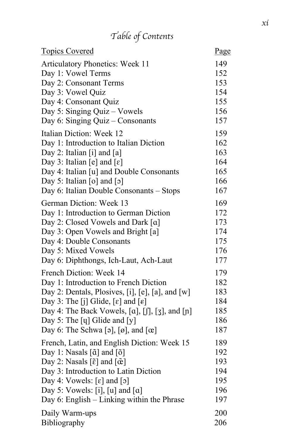# *Table of Contents*

| <b>Topics Covered</b>                                     | Page |
|-----------------------------------------------------------|------|
| <b>Articulatory Phonetics: Week 11</b>                    | 149  |
| Day 1: Vowel Terms                                        | 152  |
| Day 2: Consonant Terms                                    | 153  |
| Day 3: Vowel Quiz                                         | 154  |
| Day 4: Consonant Quiz                                     | 155  |
| Day 5: Singing Quiz – Vowels                              | 156  |
| Day 6: Singing Quiz – Consonants                          | 157  |
| Italian Diction: Week 12                                  | 159  |
| Day 1: Introduction to Italian Diction                    | 162  |
| Day 2: Italian [i] and [a]                                | 163  |
| Day 3: Italian [e] and $[\epsilon]$                       | 164  |
| Day 4: Italian [u] and Double Consonants                  | 165  |
| Day 5: Italian $\lceil o \rceil$ and $\lceil o \rceil$    | 166  |
| Day 6: Italian Double Consonants - Stops                  | 167  |
| German Diction: Week 13                                   | 169  |
| Day 1: Introduction to German Diction                     | 172  |
| Day 2: Closed Vowels and Dark [a]                         | 173  |
| Day 3: Open Vowels and Bright [a]                         | 174  |
| Day 4: Double Consonants                                  | 175  |
| Day 5: Mixed Vowels                                       | 176  |
| Day 6: Diphthongs, Ich-Laut, Ach-Laut                     | 177  |
| French Diction: Week 14                                   | 179  |
| Day 1: Introduction to French Diction                     | 182  |
| Day 2: Dentals, Plosives, [i], [e], [a], and [w]          | 183  |
| Day 3: The [j] Glide, $[\varepsilon]$ and $[\varepsilon]$ | 184  |
| Day 4: The Back Vowels, $[a]$ , $[0]$ , $[3]$ , and $[n]$ | 185  |
| Day 5: The [y] Glide and [y]                              | 186  |
| Day 6: The Schwa [ə], $[\emptyset]$ , and $[\emptyset]$   | 187  |
| French, Latin, and English Diction: Week 15               | 189  |
| Day 1: Nasals $[\tilde{\alpha}]$ and $[\tilde{\delta}]$   | 192  |
| Day 2: Nasals $[\tilde{\epsilon}]$ and $[\tilde{\alpha}]$ | 193  |
| Day 3: Introduction to Latin Diction                      | 194  |
| Day 4: Vowels: $[\varepsilon]$ and $[\circ]$              | 195  |
| Day 5: Vowels: [i], [u] and $[a]$                         | 196  |
| Day 6: English - Linking within the Phrase                | 197  |
| Daily Warm-ups                                            | 200  |
| Bibliography                                              | 206  |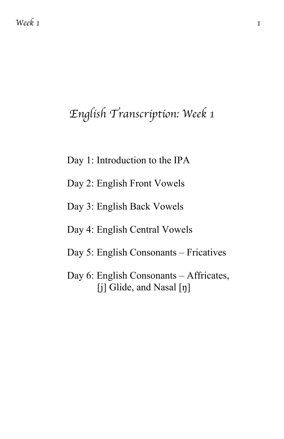# *English Transcription: Week 1*

- Day 1: Introduction to the IPA
- Day 2: English Front Vowels
- Day 3: English Back Vowels
- Day 4: English Central Vowels
- Day 5: English Consonants Fricatives
- Day 6: English Consonants Affricates, [j] Glide, and Nasal [ŋ]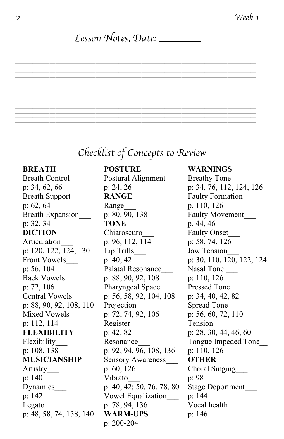#### *Lesson Notes, Date:*

==========================================

==========================================

# *Checklist of Concepts to Review*

p: 48, 58, 74, 138, 140 **WARM-UPS**\_\_\_

Breath Control Postural Alignment Breathy Tone Breath Support **RANGE** Faulty Formation p: 62, 64 Range\_\_\_ p. 110, 126 Breath Expansion p: 80, 90, 138 Faulty Movement p: 32, 34 **TONE** p. 44, 46 **DICTION** Chiaroscuro Faulty Onset Articulation p: 96, 112, 114 p: 58, 74, 126 p: 120, 122, 124, 130 Lip Trills\_\_\_ Jaw Tension\_\_\_ p: 56, 104 Palatal Resonance Nasal Tone Back Vowels p: 88, 90, 92, 108 p: 110, 126 p: 72, 106 Pharyngeal Space Pressed Tone Central Vowels\_\_\_ p: 56, 58, 92, 104, 108 p: 34, 40, 42, 82 p: 88, 90, 92, 108, 110 Projection\_\_\_ Spread Tone\_\_\_ Mixed Vowels p: 72, 74, 92, 106 p: 56, 60, 72, 110 p: 112, 114 Register Tension **FLEXIBILITY** p: 42, 82 p: 28, 30, 44, 46, 60 p: 108, 138 p: 92, 94, 96, 108, 136 p: 110, 126 **MUSICIANSHIP** Sensory Awareness\_\_\_ **OTHER** Artistry p: 60, 126 Choral Singing p: 140 Vibrato\_\_\_ p: 98 Dynamics p: 40, 42; 50, 76, 78, 80 Stage Deportment p: 142 Vowel Equalization\_\_\_ p: 144 Legato  $p: 78, 94, 136$  Vocal health p: 200-204

#### **BREATH POSTURE WARNINGS**

p: 34, 62, 66 p: 24, 26 p: 34, 76, 112, 124, 126 Front Vowels p: 40, 42 p: 30, 110, 120, 122, 124 Flexibility Resonance Tongue Impeded Tone p: 146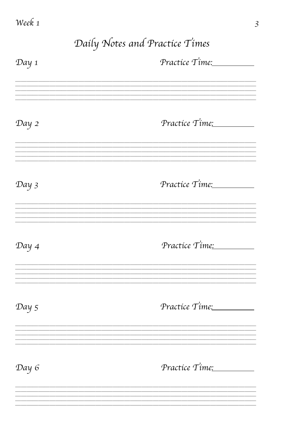*Daily Notes and Practice Times Day 1 Practice Time:*  $=\frac{1}{2}$ *Day 2 Practice Time:* ========================================== *Day 3 Practice Time:* ========================================== *Day 4 Practice Time:* ========================================== *Day 5 Practice Time:* ========================================== *Day 6 Practice Time:* ==========================================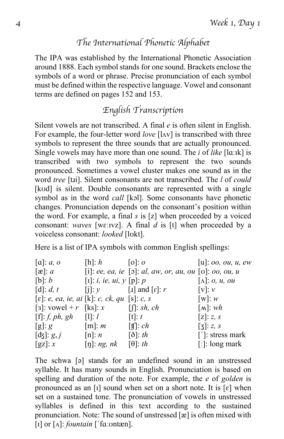#### *The International Phonetic Alphabet The International Phonetic Alphabet*

The IPA was established by the International Phonetic Association around 1888. Each symbol stands for one sound. Brackets enclose the symbols of a word or phrase. Precise pronunciation of each symbol must be defined within the respective language. Vowel and consonant terms are defined on pages 152 and 153.

#### *English Transcription*

Silent vowels are not transcribed. A final *e* is often silent in English. For example, the four-letter word *love* [lʌv] is transcribed with three symbols to represent the three sounds that are actually pronounced. Single vowels may have more than one sound. The *i* of *like* [lɑːɪk] is transcribed with two symbols to represent the two sounds pronounced. Sometimes a vowel cluster makes one sound as in the word *tree* [tɹi]. Silent consonants are not transcribed. The *l* of *could*  [kʊd] is silent. Double consonants are represented with a single symbol as in the word *call* [kɔl]. Some consonants have phonetic changes. Pronunciation depends on the consonant's position within the word. For example, a final *s* is [z] when proceeded by a voiced consonant: *waves* [wɛːɪvz]. A final *d* is [t] when proceeded by a voiceless consonant: *looked* [lʊkt].

Here is a list of IPA symbols with common English spellings:

| [a]: a, o                                                | [h]: h                                                         | [0]: o                                                 | $[u]$ : 00, 0u, u, ew               |
|----------------------------------------------------------|----------------------------------------------------------------|--------------------------------------------------------|-------------------------------------|
| $[\mathbf{\alpha}]\colon a$                              |                                                                | [i]: ee, ea, ie [ɔ]: al, aw, or, au, ou [v]: oo, ou, u |                                     |
| [b]: b                                                   | [I]: <i>i</i> , <i>ie</i> , <i>ui</i> , <i>y</i> [p]: <i>p</i> |                                                        | $\lceil \Lambda \rceil$ : 0, u, ou  |
| $\lbrack d \rbrack$ : d, t                               | [i]: $y$ [I] and [r]: r                                        |                                                        | [v]: v                              |
| $[\varepsilon]$ : e, ea, ie, ai [k]: c, ck, qu [s]: c, s |                                                                |                                                        | [w]: $w$                            |
| [3]: vowel + r [ks]: $x$ [f]: sh, ch                     |                                                                |                                                        | [ $\Lambda$ ]: $wh$                 |
| $[f]: f, ph, gh \qquad [1]: l$                           |                                                                | [t]: t                                                 | $[z]$ : z, s                        |
| $[g]$ : g                                                | [m]: m                                                         | $\lceil \text{tf} \rceil$ : ch                         | $\overline{[3]}$ : z, s             |
| $[d3]$ : $g, j$                                          | [n]: n                                                         | $\lbrack \delta \rbrack$ : th                          | $\lceil \cdot \rceil$ : stress mark |
| [gz]: x                                                  | $[\eta]$ : <i>ng</i> , <i>nk</i>                               | $[\theta]$ : th                                        | [:]: $\log$ mark                    |

The schwa [ə] stands for an undefined sound in an unstressed syllable. It has many sounds in English. Pronunciation is based on spelling and duration of the note. For example, the *e* of *golden* is pronounced as an [I] sound when set on a short note. It is  $[\epsilon]$  when set on a sustained tone. The pronunciation of vowels in unstressed syllables is defined in this text according to the sustained pronunciation. Note: The sound of unstressed  $[\alpha]$  is often mixed with [ɪ] or [ʌ]: *fountain* [ˈfɑːʊntæn].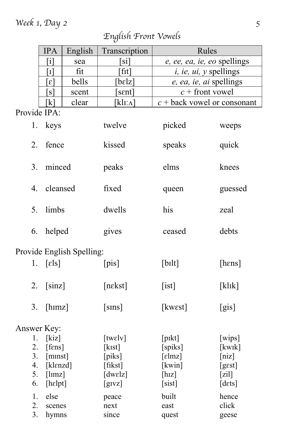#### *Week 1, Day 2 5*

# Provide IPA: 1. keys twelve picked weeps 2. fence kissed speaks quick 3. minced peaks elms knees 4. cleansed fixed queen guessed 5. limbs dwells his zeal 6. helped gives ceased debts Provide English Spelling: 1.  $[\text{els}]$  [pis] [bilt] [hens] 2. [sinz] [nekst] [ist] [klɪk] 3. [hɪmz] [sɪns] [kwɛst] [gis] Answer Key: 1. [kiz] [twelv] [pɪkt] [wips] 2. [fɛns] [kɪst] [spiks] [kwɪk] 3. [mɪnst] [piks] [ɛlmz] [niz] 4. [klɛnzd] [fikst] [kwin] [gɛst] 5.  $\lceil \text{lmz} \rceil$   $\lceil \text{dwelz} \rceil$   $\lceil \text{hiz} \rceil$   $\lceil \text{zil} \rceil$ 6. [hɛlpt] [gɪvz] [sist] [dɛts] 1. else peace built hence 2. scenes next east click 3. hymns since quest geese IPA | English | Transcription | Rules  $[i]$  sea | [si] *e, ee, ea, ie, eo* spellings [ɪ] fit [fɪt] *i, ie, ui, y* spellings [ɛ] bells [bɛlz] *e, ea, ie, ai* spellings  $[s]$  scent  $\left[$  sent  $c$  + front vowel  $[k]$  clear  $[k]$  [kl<sub>I</sub>: $\Lambda$ ]  $c +$  back vowel or consonant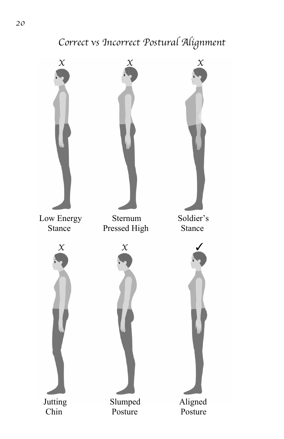# *Correct vs Incorrect Postural Alignment*

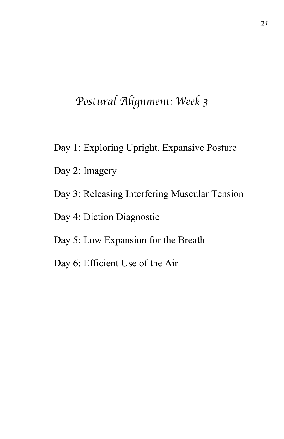# *Postural Alignment: Week 3*

- Day 1: Exploring Upright, Expansive Posture
- Day 2: Imagery
- Day 3: Releasing Interfering Muscular Tension
- Day 4: Diction Diagnostic
- Day 5: Low Expansion for the Breath
- Day 6: Efficient Use of the Air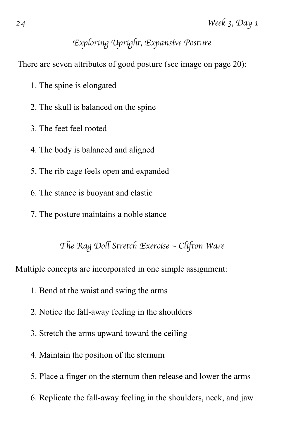#### *Exploring Upright, Expansive Posture*

There are seven attributes of good posture (see image on page 20):

- 1. The spine is elongated
- 2. The skull is balanced on the spine
- 3. The feet feel rooted
- 4. The body is balanced and aligned
- 5. The rib cage feels open and expanded
- 6. The stance is buoyant and elastic
- 7. The posture maintains a noble stance

*The Rag Doll Stretch Exercise ~ Clifton Ware*

Multiple concepts are incorporated in one simple assignment:

- 1. Bend at the waist and swing the arms
- 2. Notice the fall-away feeling in the shoulders
- 3. Stretch the arms upward toward the ceiling
- 4. Maintain the position of the sternum
- 5. Place a finger on the sternum then release and lower the arms
- 6. Replicate the fall-away feeling in the shoulders, neck, and jaw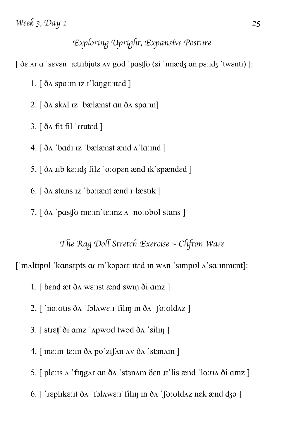#### *Exploring Upright, Expansive Posture*

[ ðɛːʌɾ ɑ ˈsɛvɛn ˈætɹɪbjuts ʌv gʊd ˈpɑsʧʊ (si ˈɪmæʤ ɑn pɛːɪʤ ˈtwɛntɪ) ]:

1. [ ðʌ spɑːɪn ɪz ɪˈlɑŋgɛːɪtɛd ]

2. [ ðʌ skʌl ɪz ˈbælænst ɑn ðʌ spɑːɪn]

 $3.$  [  $\delta$  a fit fil 'rruted ]

4. [ ðʌ ˈbɑdɪ ɪz ˈbælænst ænd ʌˈlɑːɪnd ]

5. [ ðʌ ɹɪb kɛːɪʤ filz ˈoːʊpɛn ænd ɪkˈspændɛd ]

6. [ ðʌ stɑns ɪz ˈbɔːɪænt ænd ɪˈlæstɪk ]

7. [ ðʌ ˈpɑsʧʊ mɛːɪnˈtɛːɪnz ʌ ˈnoːʊbʊl stɑns ]

*The Rag Doll Stretch Exercise ~ Clifton Ware*

['mʌltɪpʊl 'kansepts ar in'kɔpɔrɛːɪtɛd in wʌn 'simpʊl ʌ'saːinment]:

- 1. [ bɛnd æt ðʌ wɛːɪst ænd swɪŋ ði ɑmz ]
- 2. [ ˈnoːʊtɪs ðʌ ˈfɔlʌwɛːɪˈfilɪŋ ɪn ðʌ ˈʃoːʊldʌz ]
- $3.$  [ stieff  $\delta i$  amz ' $A$ pwod twod  $\delta A$  'silin ]
- $4.$  [ m $\varepsilon$ : m  $\check{\sigma}$  m  $\check{\sigma}$  m  $\check{\sigma}$  m  $\check{\sigma}$  m  $\check{\sigma}$  m  $\check{\sigma}$  m  $\check{\sigma}$  m  $\check{\sigma}$  m  $\check{\sigma}$  m  $\check{\sigma}$  m  $\check{\sigma}$  m  $\check{\sigma}$  m  $\check{\sigma}$  m  $\check{\sigma}$  m  $\check{\sigma}$  m  $\check{\sigma}$  m  $\check{\sigma}$  m  $\check{\sigma}$  m  $\check{\sigma}$  m  $\check{\sigma}$  m  $\check{\$
- 5. [ plɛːɪs ʌ ˈfɪŋgʌɾ ɑn ðʌ ˈstɜnʌm ðɛn ɹɪˈlis ænd ˈloːʊʌ ði ɑmz ]
- 6. [ ˈɹɛplɪkɛːɪt ðʌ ˈfɔlʌwɛːɪˈfilɪŋ ɪn ðʌ ˈʃoːʊldʌz nɛk ænd ʤɔ ]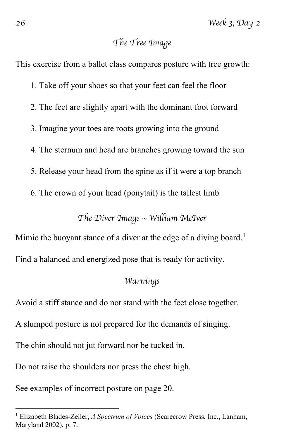#### *The Tree Image*

This exercise from a ballet class compares posture with tree growth:

- 1. Take off your shoes so that your feet can feel the floor
- 2. The feet are slightly apart with the dominant foot forward
- 3. Imagine your toes are roots growing into the ground
- 4. The sternum and head are branches growing toward the sun
- 5. Release your head from the spine as if it were a top branch
- 6. The crown of your head (ponytail) is the tallest limb

*The Diver Image ~ William McIver*

Mimic the buoyant stance of a diver at the edge of a diving board.<sup>[1](#page-15-0)</sup> Find a balanced and energized pose that is ready for activity.

#### *Warnings*

Avoid a stiff stance and do not stand with the feet close together.

A slumped posture is not prepared for the demands of singing.

The chin should not jut forward nor be tucked in.

Do not raise the shoulders nor press the chest high.

See examples of incorrect posture on page 20.

<span id="page-15-0"></span><sup>1</sup> Elizabeth Blades-Zeller, *A Spectrum of Voices* (Scarecrow Press, Inc., Lanham, Maryland 2002), p. 7.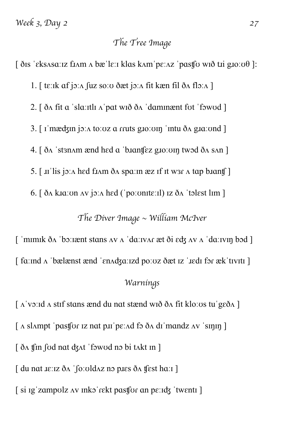#### *The Tree Image*

 $\int \delta$ is 'eksasaːiz fiam a bæ'leːi klas kam'peːaz 'pastfo wið til gioːoθ]: 1. [ tɛːɪk ɑf jɔːʌ ʃuz soːʊ ðæt jɔːʌ fit kæn fil ðʌ flɔːʌ ] 2. [ ðʌ fit ɑ ˈslɑːɪtlɪ ʌˈpɑt wɪð ðʌ ˈdɑmɪnænt fʊt ˈfɔwʊd ] 3. [ ɪˈmæʤɪn jɔːʌ toːʊz ɑ ɾɾuts gɹoːʊɪŋ ˈɪntu ðʌ gɹɑːʊnd ] 4. [ ðʌ ˈstɜnʌm ænd hɛd ɑ ˈbɹɑnʧɛz gɹoːʊɪŋ twɔd ðʌ sʌn ] 5. [ ɹɪˈlis jɔːʌ hɛd fɹʌm ðʌ spɑːɪn æz ɪf ɪt wɜɾ ʌ tɑp bɹɑnʧ ] 6. [ ðʌ kɹɑːʊn ʌv jɔːʌ hɛd (ˈpoːʊnɪtɛːɪl) ɪz ðʌ ˈtɔlɛst lɪm ]

*The Diver Image ~ William McIver*

 $\int$  'mimik  $\delta$ A 'boːiænt stans  $\Delta v$   $\Delta$  'daːiv $\Delta r$  æt  $\delta i$   $\epsilon$ d $\zeta$   $\Delta v$   $\Delta$  'daːivin bod ] [ fɑːɪnd ʌ ˈbælænst ænd ˈɛnʌʤɑːɪzd poːʊz ðæt ɪz ˈɹɛdɪ fɔɾ ækˈtɪvɪtɪ ] *Warnings*

 $\lceil \Delta \cdot v \cdot \rangle$ : d  $\Delta \cdot$  stif stans ænd du nat stænd wið ð $\Delta$  fit klo: us tu $\lceil \log \delta \Delta \rceil$  $\lceil \Delta \sin pt \rangle$  as a particle is not payfor  $\lceil \Delta \sin 2 \Delta \rangle$  and  $\lceil \Delta \sin 2 \Delta \rangle$  and  $\lceil \Delta \sin 2 \Delta \rangle$ [  $\delta$ A fin fod nat dzAt 'fowod no bi tAkt in ] [ du nɑt ɹɛːɪz ðʌ ˈʃoːʊldʌz nɔ pɹɛs ðʌ ʧɛst hɑːɪ ] [ si ɪgˈzɑmpʊlz ʌv ɪnkɔˈɾɛkt pɑsʧʊɾ ɑn pɛːɪʤ ˈtwɛntɪ ]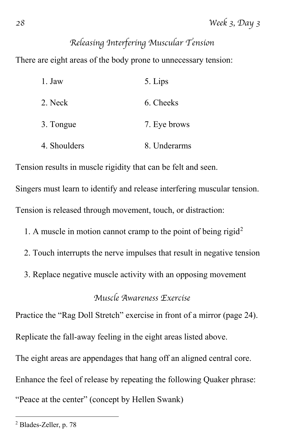### *Releasing Interfering Muscular Tension*

There are eight areas of the body prone to unnecessary tension:

| 1. Jaw       | 5. Lips      |
|--------------|--------------|
| 2. Neck      | 6. Cheeks    |
| 3. Tongue    | 7. Eye brows |
| 4. Shoulders | 8. Underarms |

Tension results in muscle rigidity that can be felt and seen.

Singers must learn to identify and release interfering muscular tension. Tension is released through movement, touch, or distraction:

- 1. A muscle in motion cannot cramp to the point of being rigid<sup>[2](#page-17-0)</sup>
- 2. Touch interrupts the nerve impulses that result in negative tension
- 3. Replace negative muscle activity with an opposing movement

#### *Muscle Awareness Exercise*

Practice the "Rag Doll Stretch" exercise in front of a mirror (page 24).

Replicate the fall-away feeling in the eight areas listed above.

The eight areas are appendages that hang off an aligned central core.

Enhance the feel of release by repeating the following Quaker phrase:

"Peace at the center" (concept by Hellen Swank)

<span id="page-17-0"></span><sup>2</sup> Blades-Zeller, p. 78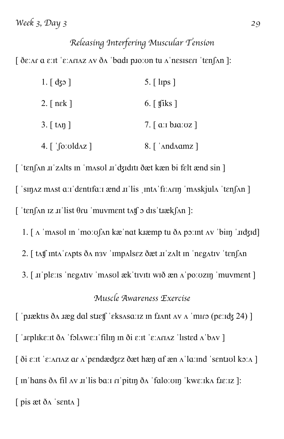#### *Releasing Interfering Muscular Tension*

 $\int \delta \varepsilon$ :  $\Delta r \alpha \varepsilon$ : it ' $\varepsilon$ :  $\Delta r \Delta z \Delta v \delta \Delta$  'badi plo: on tu  $\Delta r$  nesiseriar tenform ]:

| $1. [$ dzo ]                                   | $5.$ [ lips ]                                     |
|------------------------------------------------|---------------------------------------------------|
| 2. $[$ n $\epsilon$ k $]$                      | 6. $\lceil \text{ }$ tiks $\rceil$                |
| $3.$ [ t <sub>An</sub> ]                       | 7. $\lceil$ a: b. b. $\alpha$ : $\alpha$ $\lceil$ |
| $4.$ [ $\sim$ [ $\alpha$   $\alpha$   $\alpha$ |                                                   |

[ ˈtɛnʃʌn ɹɪˈzʌlts ɪn ˈmʌsʊl ɹɪˈʤɪdɪtɪ ðæt kæn bi fɛlt ænd sin ] [ ˈsɪŋʌz mʌst ɑːɪˈdɛntɪfɑːɪ ænd ɹɪˈlis ˌɪntʌˈfɪːʌɾɪŋ ˈmʌskjulʌ ˈtɛnʃʌn ]  $\int$  'tenf  $\ln$  iz  $\pi$ 'list  $\theta$ ru 'muvment t $\Lambda$ t $\theta$  odis 't $\pi$ ekf $\ln$ ]:

1.  $\lceil \Lambda \rceil$  masul in  $\lceil \text{mo} \rceil$  and kiamp tu  $\delta \Lambda$  point  $\Lambda v$   $\lceil \text{bin} \rceil$  indeed

- 2. [ tʌʧ ɪntʌˈɾʌpts ðʌ nɜv ˈɪmpʌlsɛz ðæt ɹɪˈzʌlt ɪn ˈnɛgʌtɪv ˈtɛnʃʌn
- 3. [ ɹɪˈplɛːɪs ˈnɛgʌtɪv ˈmʌsʊl ækˈtɪvɪtɪ wɪð æn ʌˈpoːʊzɪŋ ˈmuvmɛnt ]

#### *Muscle Awareness Exercise*

[ 'pɪæktɪs ðʌ ɪæg dɑl stɪɛtʃ 'ɛksʌsɑːɪz ɪn fɪʌnt  $\alpha$ v  $\alpha$  'mɪrɔ (pɛːɪdʒ 24)] [ ˈɹɛplɪkɛːɪt ðʌ ˈfɔlʌwɛːɪˈfilɪŋ ɪn ði ɛːɪt ˈɛːʌɾɪʌz ˈlɪstɛd ʌˈbʌv ]  $\delta$ i  $\varepsilon$ : it ' $\varepsilon$ : Ari $\Delta z$  ar  $\Delta$ ' pendædzez ðæt hæn af æn  $\Delta$ ' la: ind 'sentiol ko:  $\Delta$ ]  $\lceil$  in hans  $\delta$  a fil av *x*<sup>1</sup> lis band  $\alpha$  in  $\delta$ <sup>1</sup> falo: on 'kweika f $x$ ]: [ pis æt ðʌ ˈsɛntʌ ]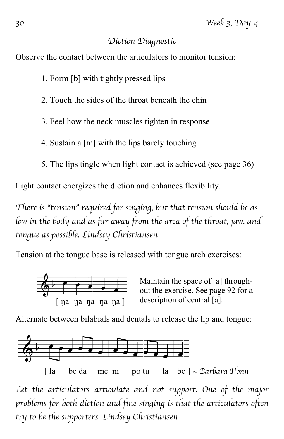#### *Diction Diagnostic*

Observe the contact between the articulators to monitor tension:

- 1. Form [b] with tightly pressed lips
- 2. Touch the sides of the throat beneath the chin
- 3. Feel how the neck muscles tighten in response
- 4. Sustain a [m] with the lips barely touching
- 5. The lips tingle when light contact is achieved (see page 36)

Light contact energizes the diction and enhances flexibility.

*There is "tension" required for singing, but that tension should be as low in the body and as far away from the area of the throat, jaw, and tongue as possible. Lindsey Christiansen*

Tension at the tongue base is released with tongue arch exercises:



Maintain the space of [a] throughout the exercise. See page 92 for a description of central [a].

Alternate between bilabials and dentals to release the lip and tongue:



Let the articulators articulate and not support. One of the major *problems for both diction and fine singing is that the articulators often try to be the supporters. Lindsey Christiansen*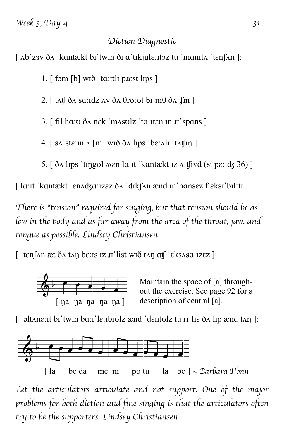#### *Diction Diagnostic*

[ ʌbˈzɜv ðʌ ˈkɑntækt bɪˈtwin ði ɑˈtɪkjulɛːɪtɔz tu ˈmɑnɪtʌ ˈtɛnʃʌn ]:

1.  $\lceil$  fom  $\lceil b \rceil$  wið 'ta:itli plest lips  $\rceil$ 

2.  $\lceil$  tʌt $\int$  ðʌ sɑːɪdz ʌv ðʌ  $\theta$ roːʊt bɪ ˈni $\theta$  ðʌ t $\ln$   $\lceil$ 

3. [ fil hɑːʊ ðʌ nɛk ˈmʌsʊlz ˈtɑːɪtɛn ɪn ɹɪˈspɑns ]

4. [ sʌˈstɛːɪn ʌ [m] wɪð ðʌ lɪps ˈbɛːʌlɪ ˈtʌʧɪŋ ]

5. [ ðʌ lɪps ˈtɪŋgʊl ʍɛn lɑːɪt ˈkɑntækt ɪz ʌˈʧivd (si pɛːɪʤ 36) ]

[ lɑːɪt ˈkɑntækt ˈɛnʌʤɑːɪzɛz ðʌ ˈdɪkʃʌn ænd ɪnˈhɑnsɛz flɛksɪˈbɪlɪtɪ ]

*There is "tension" required for singing, but that tension should be as low in the body and as far away from the area of the throat, jaw, and tongue as possible. Lindsey Christiansen*

[ ˈtɛnʃʌn æt ðʌ tʌŋ bɛːɪs ɪz ɹɪˈlist wɪð tʌŋ ɑʧ ˈɛksʌsɑːɪzɛz ]:



Maintain the space of [a] throughout the exercise. See page 92 for a description of central [a].

[ 'oltane: it bi'twin ba: i'le: ibiolz ænd 'dentolz tu  $\alpha$ 'lis  $\delta \Lambda$  lip ænd tan ]:



[ la be da me ni po tu la be ] *~ Barbara Honn*

Let the articulators articulate and not support. One of the major *problems for both diction and fine singing is that the articulators often try to be the supporters. Lindsey Christiansen*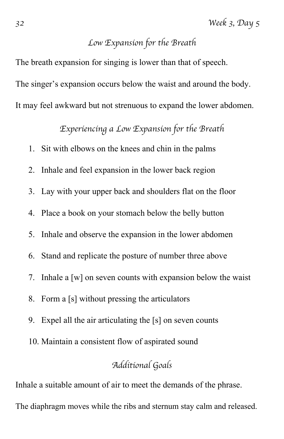#### *Low Expansion for the Breath*

The breath expansion for singing is lower than that of speech. The singer's expansion occurs below the waist and around the body. It may feel awkward but not strenuous to expand the lower abdomen.

*Experiencing a Low Expansion for the Breath*

- 1. Sit with elbows on the knees and chin in the palms
- 2. Inhale and feel expansion in the lower back region
- 3. Lay with your upper back and shoulders flat on the floor
- 4. Place a book on your stomach below the belly button
- 5. Inhale and observe the expansion in the lower abdomen
- 6. Stand and replicate the posture of number three above
- 7. Inhale a [w] on seven counts with expansion below the waist
- 8. Form a [s] without pressing the articulators
- 9. Expel all the air articulating the [s] on seven counts
- 10. Maintain a consistent flow of aspirated sound

#### *Additional Goals*

Inhale a suitable amount of air to meet the demands of the phrase.

The diaphragm moves while the ribs and sternum stay calm and released.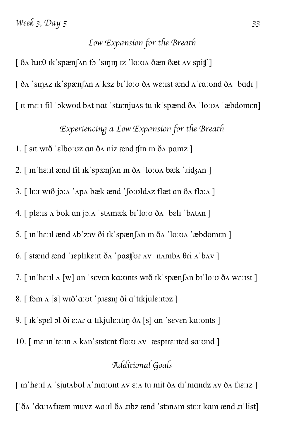#### *Low Expansion for the Breath*

 $\int \delta \Lambda$  bie $\theta$  ik spæn $\int \Lambda$ n fo sinjin iz 'loːʊ $\Lambda$  ðæn ðæt  $\Lambda$ v spit $\int$ ]

[ ðʌ ˈsɪŋʌz ɪkˈspænʃʌn ʌˈkɜz bɪˈloːʊ ðʌ wɛːɪst ænd ʌˈɾɑːʊnd ðʌ ˈbɑdɪ ]

[ ɪt mɛːɪ fil ˈɔkwʊd bʌt nɑt ˈstɹɛnjuʌs tu ɪkˈspænd ðʌ ˈloːʊʌ ˈæbdomɛn]

*Experiencing a Low Expansion for the Breath*

1.  $\lceil$  sit wið 'elboːoz an ð $\Lambda$  niz ænd t $\lceil$ in in ð $\Lambda$  pamz  $\rceil$ 

2. [  $\ln$  he: I and fil  $\ln k$  spæn $\ln n$   $\ln \delta \Lambda$   $\ln \cosh \lambda$   $\ln \cosh \lambda$ 

3. [ lɛːɪ wɪð jɔːʌ ˈʌpʌ bæk ænd ˈʃoːʊldʌz flæt ɑn ðʌ flɔːʌ ]

4. [ plɛːɪs ʌ bʊk ɑn jɔːʌ ˈstʌmæk bɪˈloːʊ ðʌ ˈbɛlɪ ˈbʌtʌn ]

5. [ ɪnˈhɛːɪl ænd ʌbˈzɜv ði ɪkˈspænʃʌn ɪn ðʌ ˈloːʊʌ ˈæbdomɛn ]

6. [ stænd ænd ˈɹɛplɪkɛːɪt ðʌ ˈpɑsʧʊɾ ʌv ˈnʌmbʌ θɾi ʌˈbʌv ]

7. [ ɪnˈhɛːɪl ʌ [w] ɑn ˈsɛvɛn kɑːʊnts wɪð ɪkˈspænʃʌn bɪˈloːʊ ðʌ wɛːɪst ]

8. [ fɔm ʌ [s] wɪðˈɑːʊt ˈpɹɛsɪŋ ði ɑˈtɪkjulɛːɪtɔz ]

9. [ ɪkˈspɛl ɔl ði ɛːʌɾ ɑˈtɪkjulɛːɪtɪŋ ðʌ [s] ɑn ˈsɛvɛn kɑːʊnts ]

 $10.$  [ me: In 'te: In  $\Lambda$  k $\Lambda$ n 's istent flo:  $\sigma \Lambda$  are  $\Lambda$  as  $\sigma$  at  $\sigma$  sections in  $\Lambda$ 

#### *Additional Goals*

 $\lceil$  in 'he:il  $\Lambda$  'sjut $\Lambda$ bul  $\Lambda$ 'ma:unt  $\Lambda v \in \Lambda$  tu mit ð $\Lambda$  di 'mandz  $\Lambda v$  ð $\Lambda$  fie:iz  $\lceil$  $\int' \delta A$  'da: IAflæm muvz Ma: Il  $\delta A$  ubz ænd 'stan Am ste: I kam ænd u'list]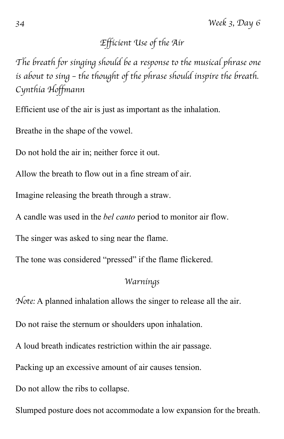# *Efficient Use of the Air*

*The breath for singing should be a response to the musical phrase one is about to sing – the thought of the phrase should inspire the breath. Cynthia Hoffmann*

Efficient use of the air is just as important as the inhalation.

Breathe in the shape of the vowel.

Do not hold the air in; neither force it out.

Allow the breath to flow out in a fine stream of air.

Imagine releasing the breath through a straw.

A candle was used in the *bel canto* period to monitor air flow.

The singer was asked to sing near the flame.

The tone was considered "pressed" if the flame flickered.

#### *Warnings*

*Note:* A planned inhalation allows the singer to release all the air.

Do not raise the sternum or shoulders upon inhalation.

A loud breath indicates restriction within the air passage.

Packing up an excessive amount of air causes tension.

Do not allow the ribs to collapse.

Slumped posture does not accommodate a low expansion for the breath.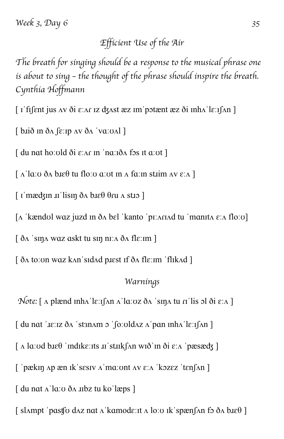### *Efficient Use of the Air*

*The breath for singing should be a response to the musical phrase one is about to sing – the thought of the phrase should inspire the breath. Cynthia Hoffmann*

 $\lceil$  i fifent jus av ði  $\varepsilon$ : ar iz dzast æz im potænt æz ði inha le: ifan ]

 $\int$  b.id in  $\delta$ A  $\int$   $\varepsilon$ : ip AV  $\delta$ A  $\vert$   $\vee$   $\alpha$ :  $\circ$ A $\vert$   $\vert$ 

 $\int$  du nat hoːold ði  $\varepsilon$ ː $\Lambda$  in 'naːið $\Lambda$  fos it aːot ]

 $\lceil \Delta \rceil$ aːʊ ð $\Delta$  bɪɛθ tu floːʊ aːʊt ɪn  $\Delta$  faːɪn stɪim  $\Delta V \in \Delta$ ]

 $\lceil$  i mædzin  $\pi$  lisin ða b $\ell$  θru a stro  $\lceil$ 

[ʌ ˈkændʊl wɑz juzd ɪn ðʌ bɛl ˈkanto ˈpɪːʌɾɪʌd tu ˈmɑnɪtʌ ɛːʌ floːʊ]

[ ðʌ ˈsɪŋʌ wɑz ɑskt tu sɪŋ nɪːʌ ðʌ flɛːɪm ]

[ ðʌ toːʊn wɑz kʌnˈsɪdʌd pɹɛst ɪf ðʌ flɛːɪm ˈflɪkʌd ]

#### *Warnings*

*Note:* [ ʌ plænd ɪnhʌˈlɛːɪʃʌn ʌˈlɑːʊz ðʌ ˈsɪŋʌ tu ɾɪˈlis ɔl ði ɛːʌ ]

 $\int$  du nat ' $\text{I}$ e: $\text{I}z$  ð $\Lambda$  'st $\text{I}$ an $\Lambda$  o' $\int$ o $\text{I}$ o $\Lambda$ z $\Lambda$ ' $\text{I}$ pan  $\text{I}$ n $\Lambda$ ' $\text{I}$ e: $\text{I}$  $\Lambda$ n  $\Lambda$ 

 $\lceil \Delta \ln \cdot \text{ad} \cdot \text{ad} \cdot \text{ad} \cdot \text{ad} \cdot \text{ad} \cdot \text{ad} \cdot \text{ad} \cdot \text{ad} \cdot \text{ad} \cdot \text{ad} \cdot \text{ad} \cdot \text{ad} \cdot \text{ad} \cdot \text{ad} \cdot \text{ad} \cdot \text{ad} \cdot \text{ad} \cdot \text{ad} \cdot \text{ad} \cdot \text{ad} \cdot \text{ad} \cdot \text{ad} \cdot \text{ad} \cdot \text{ad} \cdot \text{ad} \cdot \text{ad} \cdot \text{ad} \cdot \text{ad} \cdot \text{ad} \cdot \text{ad} \cdot \$ 

[ 'pækin  $\Delta p$  æn ik sesiv  $\Delta$ 'maːont  $\Delta v$   $\varepsilon$ : $\Delta$  'kozez 'tenf $\Delta n$ ]

[ du nɑt ʌˈlɑːʊ ðʌ ɹɪbz tu koˈlæps ]

[ sl $\Lambda$ mpt 'p $\alpha$ stf $\alpha$  d $\alpha$ z nat  $\Lambda$ 'kamodeːɪt  $\Lambda$  loːʊ ɪk'spæn $\alpha$  fɔ ð $\Lambda$  bɪ $\epsilon \theta$ ]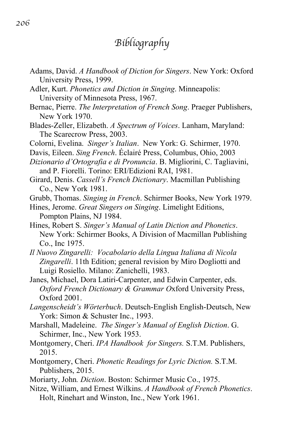# *Bibliography*

- Adams, David. *A Handbook of Diction for Singers*. New York: Oxford University Press, 1999.
- Adler, Kurt. *Phonetics and Diction in Singing*. Minneapolis: University of Minnesota Press, 1967.
- Bernac, Pierre. *The Interpretation of French Song*. Praeger Publishers, New York 1970.
- Blades-Zeller, Elizabeth. *A Spectrum of Voices*. Lanham, Maryland: The Scarecrow Press, 2003.
- Colorni, Evelina. *Singer's Italian*. New York: G. Schirmer, 1970.
- Davis, Eileen. *Sing French*. Éclairé Press, Columbus, Ohio, 2003
- *Dizionario d'Ortografia e di Pronuncia*. B. Migliorini, C. Tagliavini, and P. Fiorelli. Torino: ERI/Edizioni RAI, 1981.
- Girard, Denis. *Cassell's French Dictionary*. Macmillan Publishing Co., New York 1981.
- Grubb, Thomas. *Singing in French*. Schirmer Books, New York 1979.
- Hines, Jerome. *Great Singers on Singing*. Limelight Editions, Pompton Plains, NJ 1984.
- Hines, Robert S. *Singer's Manual of Latin Diction and Phonetics*. New York: Schirmer Books, A Division of Macmillan Publishing Co., Inc 1975.
- *Il Nuovo Zingarelli: Vocabolario della Lingua Italiana di Nicola Zingarelli*. 11th Edition; general revision by Miro Dogliotti and Luigi Rosiello. Milano: Zanichelli, 1983.
- Janes, Michael, Dora Latiri-Carpenter, and Edwin Carpenter, eds. *Oxford French Dictionary & Grammar O*xford University Press, Oxford 2001.
- *Langenscheidt's Wörterbuch*. Deutsch-English English-Deutsch, New York: Simon & Schuster Inc., 1993.
- Marshall, Madeleine. *The Singer's Manual of English Diction*. G. Schirmer, Inc., New York 1953.
- Montgomery, Cheri. *IPA Handbook for Singers.* S.T.M. Publishers, 2015.
- Montgomery, Cheri. *Phonetic Readings for Lyric Diction.* S.T.M. Publishers, 2015.
- Moriarty, John*. Diction*. Boston: Schirmer Music Co., 1975.
- Nitze, William, and Ernest Wilkins. *A Handbook of French Phonetics*. Holt, Rinehart and Winston, Inc., New York 1961.